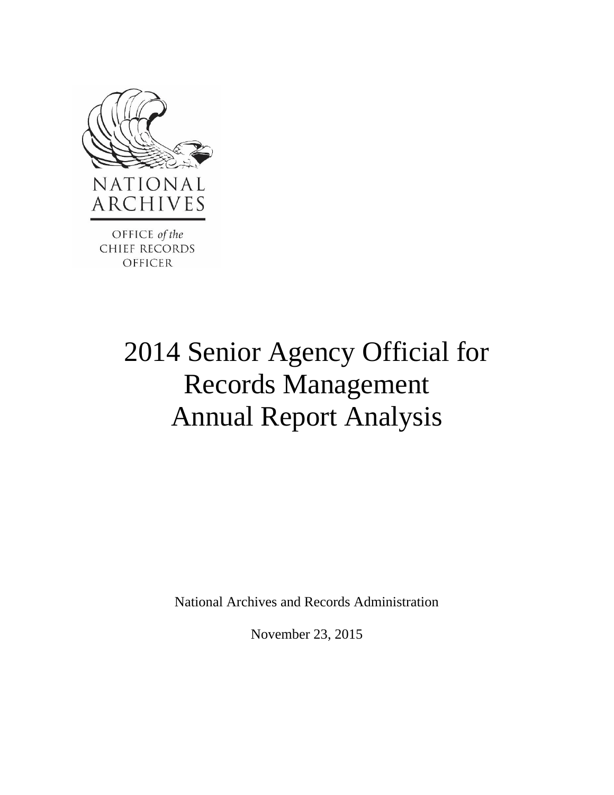

# 2014 Senior Agency Official for Records Management Annual Report Analysis

National Archives and Records Administration

November 23, 2015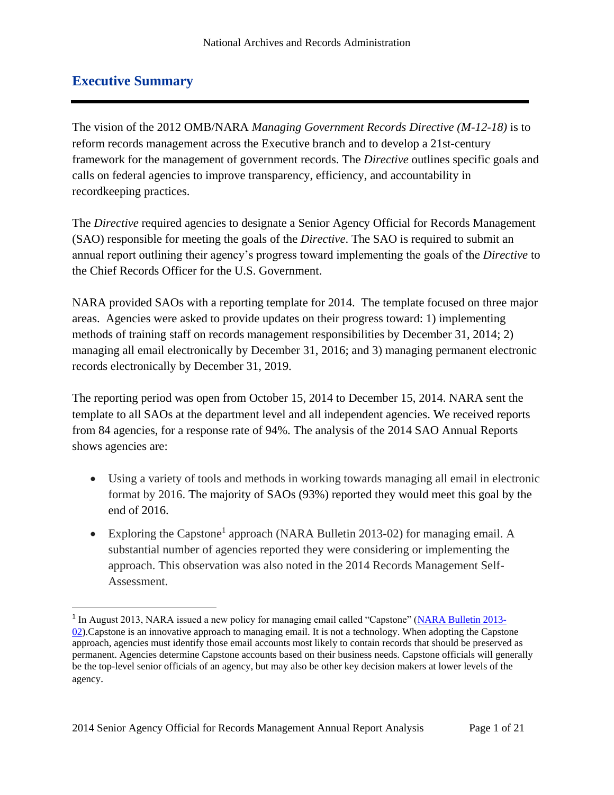#### <span id="page-1-0"></span>**Executive Summary**

 $\overline{a}$ 

The vision of the 2012 OMB/NARA *Managing Government Records Directive (M-12-18)* is to reform records management across the Executive branch and to develop a 21st-century framework for the management of government records. The *Directive* outlines specific goals and calls on federal agencies to improve transparency, efficiency, and accountability in recordkeeping practices.

The *Directive* required agencies to designate a Senior Agency Official for Records Management (SAO) responsible for meeting the goals of the *Directive*. The SAO is required to submit an annual report outlining their agency's progress toward implementing the goals of the *Directive* to the Chief Records Officer for the U.S. Government.

NARA provided SAOs with a reporting template for 2014. The template focused on three major areas. Agencies were asked to provide updates on their progress toward: 1) implementing methods of training staff on records management responsibilities by December 31, 2014; 2) managing all email electronically by December 31, 2016; and 3) managing permanent electronic records electronically by December 31, 2019.

The reporting period was open from October 15, 2014 to December 15, 2014. NARA sent the template to all SAOs at the department level and all independent agencies. We received reports from 84 agencies, for a response rate of 94%. The analysis of the 2014 SAO Annual Reports shows agencies are:

- Using a variety of tools and methods in working towards managing all email in electronic format by 2016. The majority of SAOs (93%) reported they would meet this goal by the end of 2016.
- Exploring the Capstone<sup>1</sup> approach (NARA Bulletin 2013-02) for managing email. A substantial number of agencies reported they were considering or implementing the approach. This observation was also noted in the 2014 Records Management Self-Assessment.

<sup>&</sup>lt;sup>1</sup> In August 2013, NARA issued a new policy for managing email called "Capstone" [\(NARA Bulletin 2013-](http://www.archives.gov/records-mgmt/bulletins/2013/2013-02.html) [02\)](http://www.archives.gov/records-mgmt/bulletins/2013/2013-02.html).Capstone is an innovative approach to managing email. It is not a technology. When adopting the Capstone approach, agencies must identify those email accounts most likely to contain records that should be preserved as permanent. Agencies determine Capstone accounts based on their business needs. Capstone officials will generally be the top-level senior officials of an agency, but may also be other key decision makers at lower levels of the agency.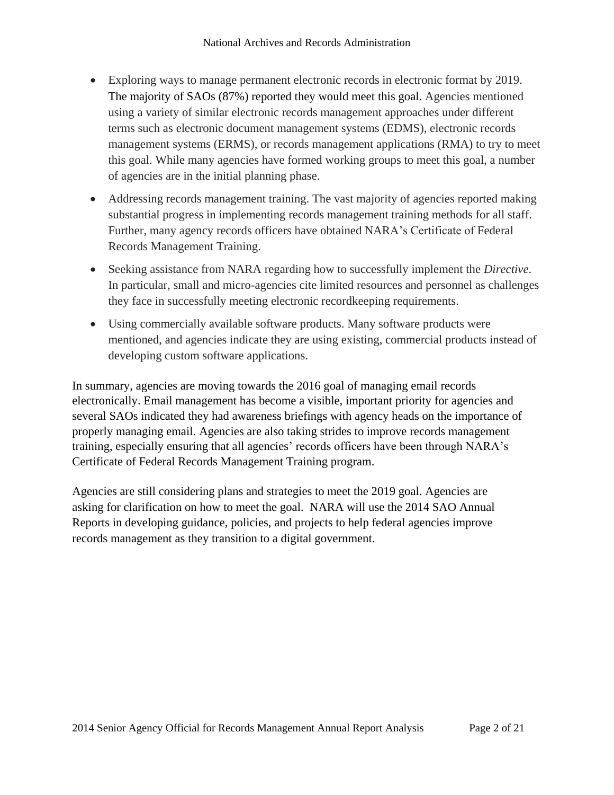- Exploring ways to manage permanent electronic records in electronic format by 2019. The majority of SAOs (87%) reported they would meet this goal. Agencies mentioned using a variety of similar electronic records management approaches under different terms such as electronic document management systems (EDMS), electronic records management systems (ERMS), or records management applications (RMA) to try to meet this goal. While many agencies have formed working groups to meet this goal, a number of agencies are in the initial planning phase.
- Addressing records management training. The vast majority of agencies reported making substantial progress in implementing records management training methods for all staff. Further, many agency records officers have obtained NARA's Certificate of Federal Records Management Training.
- Seeking assistance from NARA regarding how to successfully implement the *Directive*. In particular, small and micro-agencies cite limited resources and personnel as challenges they face in successfully meeting electronic recordkeeping requirements.
- Using commercially available software products. Many software products were mentioned, and agencies indicate they are using existing, commercial products instead of developing custom software applications.

In summary, agencies are moving towards the 2016 goal of managing email records electronically. Email management has become a visible, important priority for agencies and several SAOs indicated they had awareness briefings with agency heads on the importance of properly managing email. Agencies are also taking strides to improve records management training, especially ensuring that all agencies' records officers have been through NARA's Certificate of Federal Records Management Training program.

Agencies are still considering plans and strategies to meet the 2019 goal. Agencies are asking for clarification on how to meet the goal. NARA will use the 2014 SAO Annual Reports in developing guidance, policies, and projects to help federal agencies improve records management as they transition to a digital government.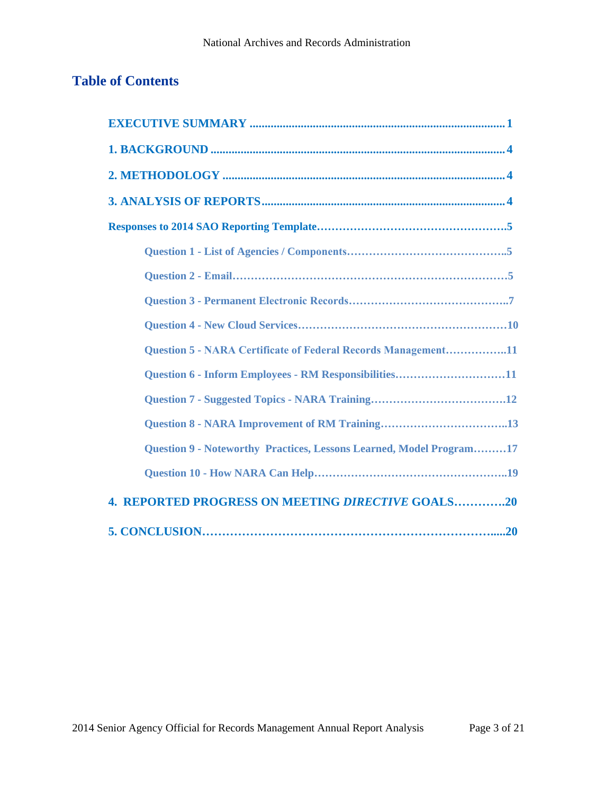# **Table of Contents**

| <b>Question 5 - NARA Certificate of Federal Records Management11</b> |
|----------------------------------------------------------------------|
| Question 6 - Inform Employees - RM Responsibilities11                |
|                                                                      |
|                                                                      |
| Question 9 - Noteworthy Practices, Lessons Learned, Model Program17  |
|                                                                      |
| <b>4. REPORTED PROGRESS ON MEETING DIRECTIVE GOALS20</b>             |
|                                                                      |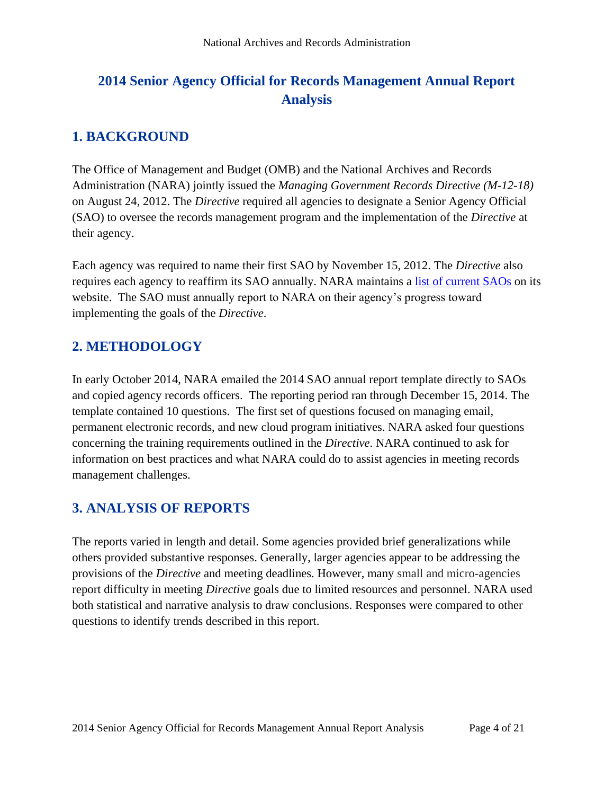# **2014 Senior Agency Official for Records Management Annual Report Analysis**

## <span id="page-4-0"></span>**1. BACKGROUND**

The Office of Management and Budget (OMB) and the National Archives and Records Administration (NARA) jointly issued the *Managing Government Records Directive (M-12-18)*  on August 24, 2012. The *Directive* required all agencies to designate a Senior Agency Official (SAO) to oversee the records management program and the implementation of the *Directive* at their agency.

Each agency was required to name their first SAO by November 15, 2012. The *Directive* also requires each agency to reaffirm its SAO annually. NARA maintains a [list of current SAOs](http://www.archives.gov/records-mgmt/agency/sao-list.html) on its website. The SAO must annually report to NARA on their agency's progress toward implementing the goals of the *Directive*.

## <span id="page-4-1"></span>**2. METHODOLOGY**

In early October 2014, NARA emailed the 2014 SAO annual report template directly to SAOs and copied agency records officers. The reporting period ran through December 15, 2014. The template contained 10 questions. The first set of questions focused on managing email, permanent electronic records, and new cloud program initiatives. NARA asked four questions concerning the training requirements outlined in the *Directive*. NARA continued to ask for information on best practices and what NARA could do to assist agencies in meeting records management challenges.

## <span id="page-4-2"></span>**3. ANALYSIS OF REPORTS**

The reports varied in length and detail. Some agencies provided brief generalizations while others provided substantive responses. Generally, larger agencies appear to be addressing the provisions of the *Directive* and meeting deadlines. However, many small and micro-agencies report difficulty in meeting *Directive* goals due to limited resources and personnel. NARA used both statistical and narrative analysis to draw conclusions. Responses were compared to other questions to identify trends described in this report.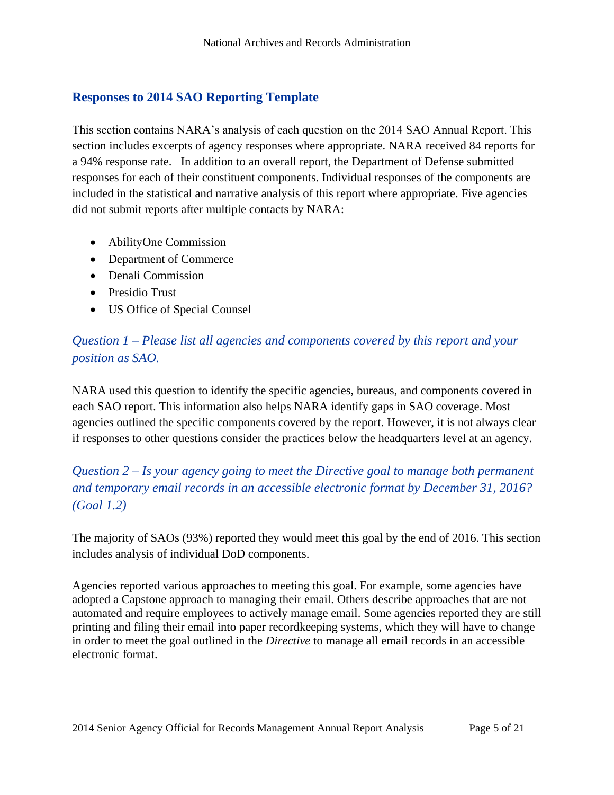#### <span id="page-5-0"></span>**Responses to 2014 SAO Reporting Template**

This section contains NARA's analysis of each question on the 2014 SAO Annual Report. This section includes excerpts of agency responses where appropriate. NARA received 84 reports for a 94% response rate. In addition to an overall report, the Department of Defense submitted responses for each of their constituent components. Individual responses of the components are included in the statistical and narrative analysis of this report where appropriate. Five agencies did not submit reports after multiple contacts by NARA:

- AbilityOne Commission
- Department of Commerce
- Denali Commission
- Presidio Trust
- US Office of Special Counsel

### *Question 1 – Please list all agencies and components covered by this report and your position as SAO.*

NARA used this question to identify the specific agencies, bureaus, and components covered in each SAO report. This information also helps NARA identify gaps in SAO coverage. Most agencies outlined the specific components covered by the report. However, it is not always clear if responses to other questions consider the practices below the headquarters level at an agency.

*Question 2 – Is your agency going to meet the Directive goal to manage both permanent and temporary email records in an accessible electronic format by December 31, 2016? (Goal 1.2)* 

The majority of SAOs (93%) reported they would meet this goal by the end of 2016. This section includes analysis of individual DoD components.

Agencies reported various approaches to meeting this goal. For example, some agencies have adopted a Capstone approach to managing their email. Others describe approaches that are not automated and require employees to actively manage email. Some agencies reported they are still printing and filing their email into paper recordkeeping systems, which they will have to change in order to meet the goal outlined in the *Directive* to manage all email records in an accessible electronic format.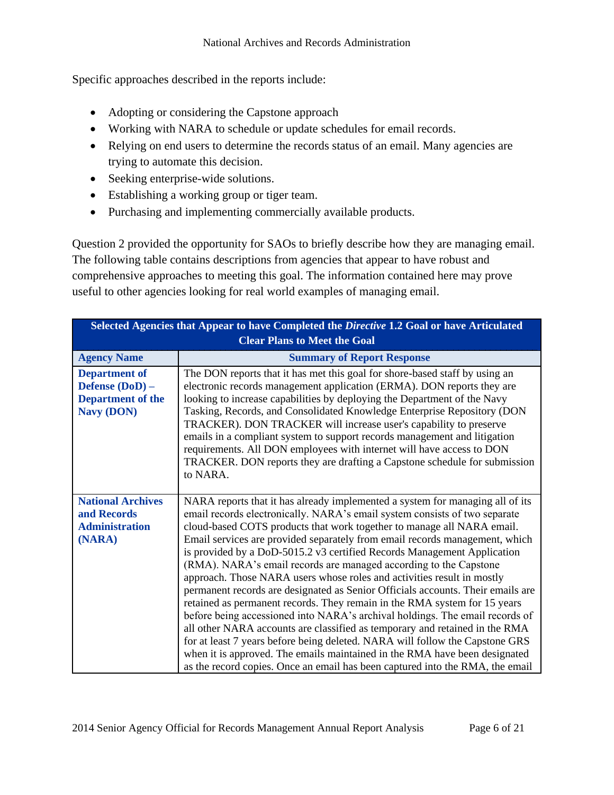Specific approaches described in the reports include:

- Adopting or considering the Capstone approach
- Working with NARA to schedule or update schedules for email records.
- Relying on end users to determine the records status of an email. Many agencies are trying to automate this decision.
- Seeking enterprise-wide solutions.
- Establishing a working group or tiger team.
- Purchasing and implementing commercially available products.

Question 2 provided the opportunity for SAOs to briefly describe how they are managing email. The following table contains descriptions from agencies that appear to have robust and comprehensive approaches to meeting this goal. The information contained here may prove useful to other agencies looking for real world examples of managing email.

| Selected Agencies that Appear to have Completed the Directive 1.2 Goal or have Articulated<br><b>Clear Plans to Meet the Goal</b> |                                                                                                                                                                                                                                                                                                                                                                                                                                                                                                                                                                                                                                                                                                                                                                                                                                                                                                                                                                                                                                                                                                                              |
|-----------------------------------------------------------------------------------------------------------------------------------|------------------------------------------------------------------------------------------------------------------------------------------------------------------------------------------------------------------------------------------------------------------------------------------------------------------------------------------------------------------------------------------------------------------------------------------------------------------------------------------------------------------------------------------------------------------------------------------------------------------------------------------------------------------------------------------------------------------------------------------------------------------------------------------------------------------------------------------------------------------------------------------------------------------------------------------------------------------------------------------------------------------------------------------------------------------------------------------------------------------------------|
| <b>Agency Name</b>                                                                                                                | <b>Summary of Report Response</b>                                                                                                                                                                                                                                                                                                                                                                                                                                                                                                                                                                                                                                                                                                                                                                                                                                                                                                                                                                                                                                                                                            |
| <b>Department of</b><br>Defense (DoD) -<br><b>Department of the</b><br><b>Navy (DON)</b>                                          | The DON reports that it has met this goal for shore-based staff by using an<br>electronic records management application (ERMA). DON reports they are<br>looking to increase capabilities by deploying the Department of the Navy<br>Tasking, Records, and Consolidated Knowledge Enterprise Repository (DON<br>TRACKER). DON TRACKER will increase user's capability to preserve<br>emails in a compliant system to support records management and litigation<br>requirements. All DON employees with internet will have access to DON<br>TRACKER. DON reports they are drafting a Capstone schedule for submission<br>to NARA.                                                                                                                                                                                                                                                                                                                                                                                                                                                                                             |
| <b>National Archives</b><br>and Records<br><b>Administration</b><br>(NARA)                                                        | NARA reports that it has already implemented a system for managing all of its<br>email records electronically. NARA's email system consists of two separate<br>cloud-based COTS products that work together to manage all NARA email.<br>Email services are provided separately from email records management, which<br>is provided by a DoD-5015.2 v3 certified Records Management Application<br>(RMA). NARA's email records are managed according to the Capstone<br>approach. Those NARA users whose roles and activities result in mostly<br>permanent records are designated as Senior Officials accounts. Their emails are<br>retained as permanent records. They remain in the RMA system for 15 years<br>before being accessioned into NARA's archival holdings. The email records of<br>all other NARA accounts are classified as temporary and retained in the RMA<br>for at least 7 years before being deleted. NARA will follow the Capstone GRS<br>when it is approved. The emails maintained in the RMA have been designated<br>as the record copies. Once an email has been captured into the RMA, the email |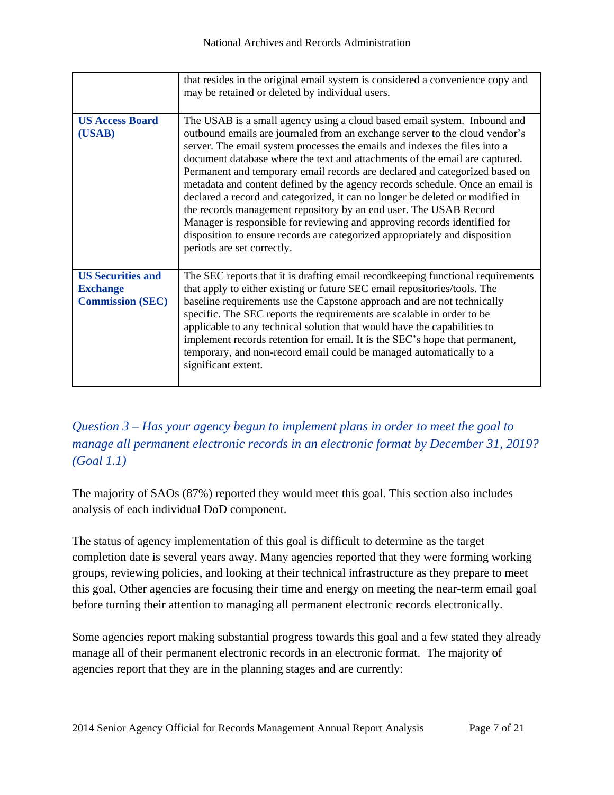|                                                                        | that resides in the original email system is considered a convenience copy and<br>may be retained or deleted by individual users.                                                                                                                                                                                                                                                                                                                                                                                                                                                                                                                                                                                                                                                                                                    |
|------------------------------------------------------------------------|--------------------------------------------------------------------------------------------------------------------------------------------------------------------------------------------------------------------------------------------------------------------------------------------------------------------------------------------------------------------------------------------------------------------------------------------------------------------------------------------------------------------------------------------------------------------------------------------------------------------------------------------------------------------------------------------------------------------------------------------------------------------------------------------------------------------------------------|
| <b>US Access Board</b><br>(USAB)                                       | The USAB is a small agency using a cloud based email system. Inbound and<br>outbound emails are journaled from an exchange server to the cloud vendor's<br>server. The email system processes the emails and indexes the files into a<br>document database where the text and attachments of the email are captured.<br>Permanent and temporary email records are declared and categorized based on<br>metadata and content defined by the agency records schedule. Once an email is<br>declared a record and categorized, it can no longer be deleted or modified in<br>the records management repository by an end user. The USAB Record<br>Manager is responsible for reviewing and approving records identified for<br>disposition to ensure records are categorized appropriately and disposition<br>periods are set correctly. |
| <b>US Securities and</b><br><b>Exchange</b><br><b>Commission (SEC)</b> | The SEC reports that it is drafting email record keeping functional requirements<br>that apply to either existing or future SEC email repositories/tools. The<br>baseline requirements use the Capstone approach and are not technically<br>specific. The SEC reports the requirements are scalable in order to be<br>applicable to any technical solution that would have the capabilities to<br>implement records retention for email. It is the SEC's hope that permanent,<br>temporary, and non-record email could be managed automatically to a<br>significant extent.                                                                                                                                                                                                                                                          |

## *Question 3 – Has your agency begun to implement plans in order to meet the goal to manage all permanent electronic records in an electronic format by December 31, 2019? (Goal 1.1)*

The majority of SAOs (87%) reported they would meet this goal. This section also includes analysis of each individual DoD component.

The status of agency implementation of this goal is difficult to determine as the target completion date is several years away. Many agencies reported that they were forming working groups, reviewing policies, and looking at their technical infrastructure as they prepare to meet this goal. Other agencies are focusing their time and energy on meeting the near-term email goal before turning their attention to managing all permanent electronic records electronically.

Some agencies report making substantial progress towards this goal and a few stated they already manage all of their permanent electronic records in an electronic format. The majority of agencies report that they are in the planning stages and are currently: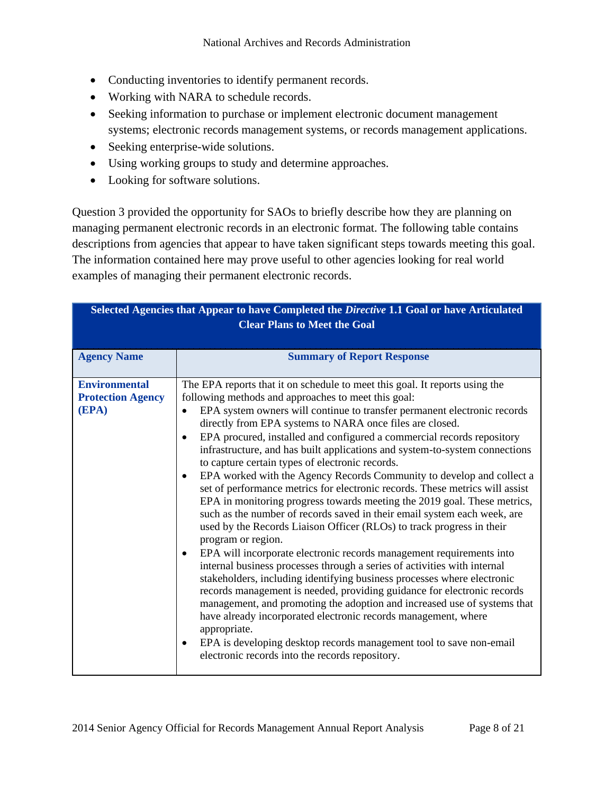- Conducting inventories to identify permanent records.
- Working with NARA to schedule records.
- Seeking information to purchase or implement electronic document management systems; electronic records management systems, or records management applications.
- Seeking enterprise-wide solutions.
- Using working groups to study and determine approaches.
- Looking for software solutions.

Question 3 provided the opportunity for SAOs to briefly describe how they are planning on managing permanent electronic records in an electronic format. The following table contains descriptions from agencies that appear to have taken significant steps towards meeting this goal. The information contained here may prove useful to other agencies looking for real world examples of managing their permanent electronic records.

| Selected Agencies that Appear to have Completed the Directive 1.1 Goal or have Articulated<br><b>Clear Plans to Meet the Goal</b> |                                                                                                                                                                                                                                                                                                                                                                                                                                                                                                                                                                                                                                                                                                                                                                                                                                                                                                                                                                                                                                                                                                                                                                                                                                                                                                                                                                                                                                                                                                                       |
|-----------------------------------------------------------------------------------------------------------------------------------|-----------------------------------------------------------------------------------------------------------------------------------------------------------------------------------------------------------------------------------------------------------------------------------------------------------------------------------------------------------------------------------------------------------------------------------------------------------------------------------------------------------------------------------------------------------------------------------------------------------------------------------------------------------------------------------------------------------------------------------------------------------------------------------------------------------------------------------------------------------------------------------------------------------------------------------------------------------------------------------------------------------------------------------------------------------------------------------------------------------------------------------------------------------------------------------------------------------------------------------------------------------------------------------------------------------------------------------------------------------------------------------------------------------------------------------------------------------------------------------------------------------------------|
| <b>Agency Name</b>                                                                                                                | <b>Summary of Report Response</b>                                                                                                                                                                                                                                                                                                                                                                                                                                                                                                                                                                                                                                                                                                                                                                                                                                                                                                                                                                                                                                                                                                                                                                                                                                                                                                                                                                                                                                                                                     |
| <b>Environmental</b><br><b>Protection Agency</b><br>(EPA)                                                                         | The EPA reports that it on schedule to meet this goal. It reports using the<br>following methods and approaches to meet this goal:<br>EPA system owners will continue to transfer permanent electronic records<br>$\bullet$<br>directly from EPA systems to NARA once files are closed.<br>EPA procured, installed and configured a commercial records repository<br>infrastructure, and has built applications and system-to-system connections<br>to capture certain types of electronic records.<br>EPA worked with the Agency Records Community to develop and collect a<br>set of performance metrics for electronic records. These metrics will assist<br>EPA in monitoring progress towards meeting the 2019 goal. These metrics,<br>such as the number of records saved in their email system each week, are<br>used by the Records Liaison Officer (RLOs) to track progress in their<br>program or region.<br>EPA will incorporate electronic records management requirements into<br>internal business processes through a series of activities with internal<br>stakeholders, including identifying business processes where electronic<br>records management is needed, providing guidance for electronic records<br>management, and promoting the adoption and increased use of systems that<br>have already incorporated electronic records management, where<br>appropriate.<br>EPA is developing desktop records management tool to save non-email<br>electronic records into the records repository. |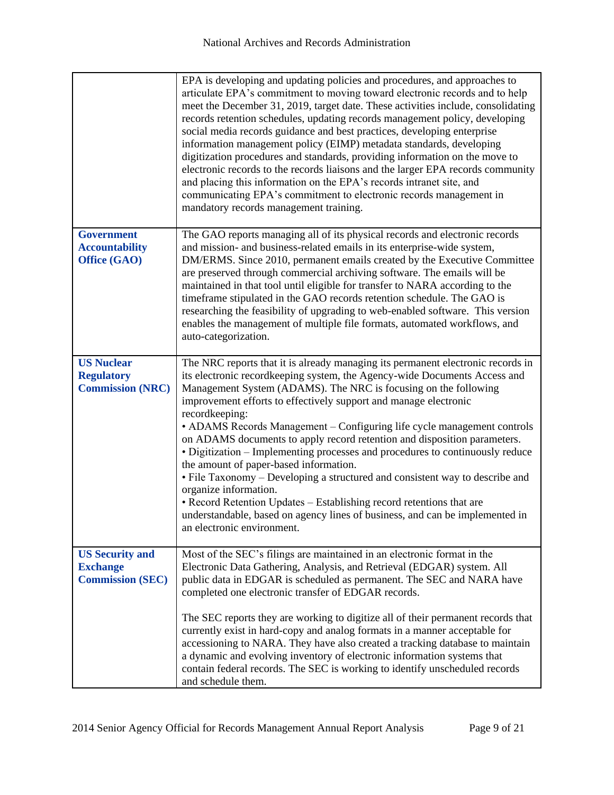|                                                                      | EPA is developing and updating policies and procedures, and approaches to<br>articulate EPA's commitment to moving toward electronic records and to help<br>meet the December 31, 2019, target date. These activities include, consolidating<br>records retention schedules, updating records management policy, developing<br>social media records guidance and best practices, developing enterprise<br>information management policy (EIMP) metadata standards, developing<br>digitization procedures and standards, providing information on the move to<br>electronic records to the records liaisons and the larger EPA records community<br>and placing this information on the EPA's records intranet site, and<br>communicating EPA's commitment to electronic records management in<br>mandatory records management training.                                                                |
|----------------------------------------------------------------------|--------------------------------------------------------------------------------------------------------------------------------------------------------------------------------------------------------------------------------------------------------------------------------------------------------------------------------------------------------------------------------------------------------------------------------------------------------------------------------------------------------------------------------------------------------------------------------------------------------------------------------------------------------------------------------------------------------------------------------------------------------------------------------------------------------------------------------------------------------------------------------------------------------|
| <b>Government</b><br><b>Accountability</b><br>Office (GAO)           | The GAO reports managing all of its physical records and electronic records<br>and mission- and business-related emails in its enterprise-wide system,<br>DM/ERMS. Since 2010, permanent emails created by the Executive Committee<br>are preserved through commercial archiving software. The emails will be<br>maintained in that tool until eligible for transfer to NARA according to the<br>timeframe stipulated in the GAO records retention schedule. The GAO is<br>researching the feasibility of upgrading to web-enabled software. This version<br>enables the management of multiple file formats, automated workflows, and<br>auto-categorization.                                                                                                                                                                                                                                         |
| <b>US Nuclear</b><br><b>Regulatory</b><br><b>Commission (NRC)</b>    | The NRC reports that it is already managing its permanent electronic records in<br>its electronic recordkeeping system, the Agency-wide Documents Access and<br>Management System (ADAMS). The NRC is focusing on the following<br>improvement efforts to effectively support and manage electronic<br>recordkeeping:<br>• ADAMS Records Management - Configuring life cycle management controls<br>on ADAMS documents to apply record retention and disposition parameters.<br>• Digitization – Implementing processes and procedures to continuously reduce<br>the amount of paper-based information.<br>• File Taxonomy – Developing a structured and consistent way to describe and<br>organize information.<br>• Record Retention Updates – Establishing record retentions that are<br>understandable, based on agency lines of business, and can be implemented in<br>an electronic environment. |
| <b>US Security and</b><br><b>Exchange</b><br><b>Commission (SEC)</b> | Most of the SEC's filings are maintained in an electronic format in the<br>Electronic Data Gathering, Analysis, and Retrieval (EDGAR) system. All<br>public data in EDGAR is scheduled as permanent. The SEC and NARA have<br>completed one electronic transfer of EDGAR records.<br>The SEC reports they are working to digitize all of their permanent records that<br>currently exist in hard-copy and analog formats in a manner acceptable for<br>accessioning to NARA. They have also created a tracking database to maintain<br>a dynamic and evolving inventory of electronic information systems that<br>contain federal records. The SEC is working to identify unscheduled records<br>and schedule them.                                                                                                                                                                                    |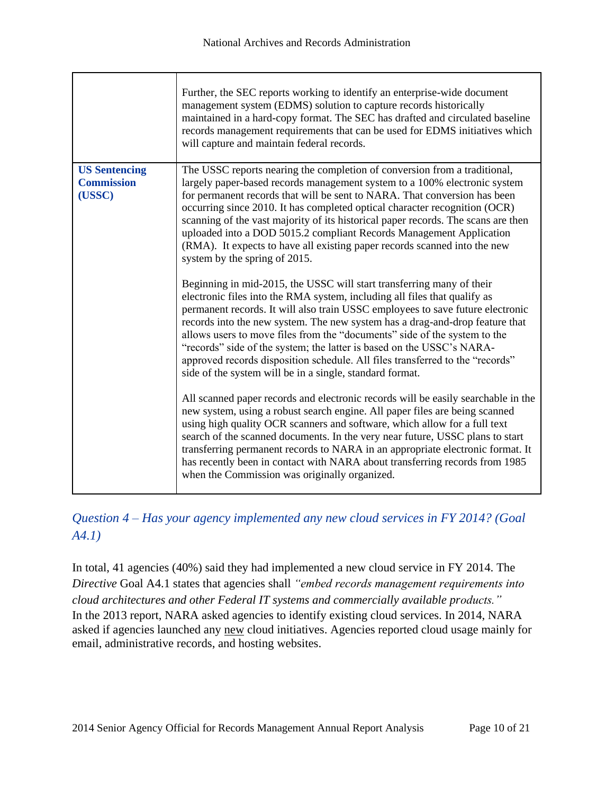|                                           | Further, the SEC reports working to identify an enterprise-wide document<br>management system (EDMS) solution to capture records historically<br>maintained in a hard-copy format. The SEC has drafted and circulated baseline<br>records management requirements that can be used for EDMS initiatives which<br>will capture and maintain federal records.                                                                                                                                                                                                                                                             |
|-------------------------------------------|-------------------------------------------------------------------------------------------------------------------------------------------------------------------------------------------------------------------------------------------------------------------------------------------------------------------------------------------------------------------------------------------------------------------------------------------------------------------------------------------------------------------------------------------------------------------------------------------------------------------------|
| <b>US Sentencing</b><br><b>Commission</b> | The USSC reports nearing the completion of conversion from a traditional,<br>largely paper-based records management system to a 100% electronic system                                                                                                                                                                                                                                                                                                                                                                                                                                                                  |
| (USSC)                                    | for permanent records that will be sent to NARA. That conversion has been                                                                                                                                                                                                                                                                                                                                                                                                                                                                                                                                               |
|                                           | occurring since 2010. It has completed optical character recognition (OCR)<br>scanning of the vast majority of its historical paper records. The scans are then<br>uploaded into a DOD 5015.2 compliant Records Management Application<br>(RMA). It expects to have all existing paper records scanned into the new<br>system by the spring of 2015.                                                                                                                                                                                                                                                                    |
|                                           | Beginning in mid-2015, the USSC will start transferring many of their<br>electronic files into the RMA system, including all files that qualify as<br>permanent records. It will also train USSC employees to save future electronic<br>records into the new system. The new system has a drag-and-drop feature that<br>allows users to move files from the "documents" side of the system to the<br>"records" side of the system; the latter is based on the USSC's NARA-<br>approved records disposition schedule. All files transferred to the "records"<br>side of the system will be in a single, standard format. |
|                                           | All scanned paper records and electronic records will be easily searchable in the<br>new system, using a robust search engine. All paper files are being scanned<br>using high quality OCR scanners and software, which allow for a full text<br>search of the scanned documents. In the very near future, USSC plans to start<br>transferring permanent records to NARA in an appropriate electronic format. It<br>has recently been in contact with NARA about transferring records from 1985<br>when the Commission was originally organized.                                                                        |

# *Question 4 – Has your agency implemented any new cloud services in FY 2014? (Goal A4.1)*

In total, 41 agencies (40%) said they had implemented a new cloud service in FY 2014. The *Directive* Goal A4.1 states that agencies shall *"embed records management requirements into cloud architectures and other Federal IT systems and commercially available products."* In the 2013 report, NARA asked agencies to identify existing cloud services. In 2014, NARA asked if agencies launched any new cloud initiatives. Agencies reported cloud usage mainly for email, administrative records, and hosting websites.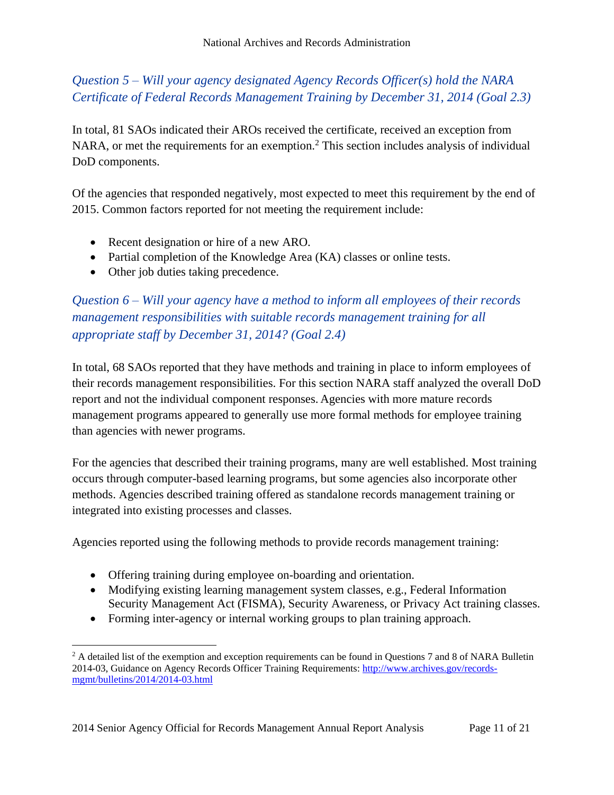*Question 5 – Will your agency designated Agency Records Officer(s) hold the NARA Certificate of Federal Records Management Training by December 31, 2014 (Goal 2.3)*

In total, 81 SAOs indicated their AROs received the certificate, received an exception from NARA, or met the requirements for an exemption.<sup>2</sup> This section includes analysis of individual DoD components.

Of the agencies that responded negatively, most expected to meet this requirement by the end of 2015. Common factors reported for not meeting the requirement include:

- Recent designation or hire of a new ARO.
- Partial completion of the Knowledge Area (KA) classes or online tests.
- Other job duties taking precedence.

l

*Question 6 – Will your agency have a method to inform all employees of their records management responsibilities with suitable records management training for all appropriate staff by December 31, 2014? (Goal 2.4)*

In total, 68 SAOs reported that they have methods and training in place to inform employees of their records management responsibilities. For this section NARA staff analyzed the overall DoD report and not the individual component responses. Agencies with more mature records management programs appeared to generally use more formal methods for employee training than agencies with newer programs.

For the agencies that described their training programs, many are well established. Most training occurs through computer-based learning programs, but some agencies also incorporate other methods. Agencies described training offered as standalone records management training or integrated into existing processes and classes.

Agencies reported using the following methods to provide records management training:

- Offering training during employee on-boarding and orientation.
- Modifying existing learning management system classes, e.g., Federal Information Security Management Act (FISMA), Security Awareness, or Privacy Act training classes.
- Forming inter-agency or internal working groups to plan training approach.

<sup>&</sup>lt;sup>2</sup> A detailed list of the exemption and exception requirements can be found in Questions 7 and 8 of NARA Bulletin 2014-03, Guidance on Agency Records Officer Training Requirements[: http://www.archives.gov/records](http://www.archives.gov/records-mgmt/bulletins/2014/2014-03.html)[mgmt/bulletins/2014/2014-03.html](http://www.archives.gov/records-mgmt/bulletins/2014/2014-03.html)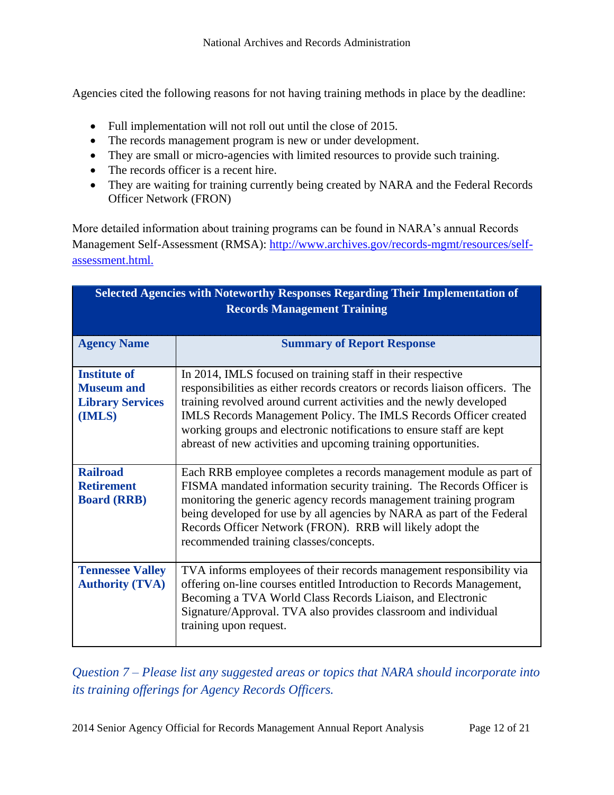Agencies cited the following reasons for not having training methods in place by the deadline:

- Full implementation will not roll out until the close of 2015.
- The records management program is new or under development.
- They are small or micro-agencies with limited resources to provide such training.
- The records officer is a recent hire.
- They are waiting for training currently being created by NARA and the Federal Records Officer Network (FRON)

More detailed information about training programs can be found in NARA's annual Records Management Self-Assessment (RMSA): [http://www.archives.gov/records-mgmt/resources/self](http://www.archives.gov/records-mgmt/resources/self-assessment.html)[assessment.html.](http://www.archives.gov/records-mgmt/resources/self-assessment.html)

| <b>Selected Agencies with Noteworthy Responses Regarding Their Implementation of</b><br><b>Records Management Training</b> |                                                                                                                                                                                                                                                                                                                                                                                                                                  |
|----------------------------------------------------------------------------------------------------------------------------|----------------------------------------------------------------------------------------------------------------------------------------------------------------------------------------------------------------------------------------------------------------------------------------------------------------------------------------------------------------------------------------------------------------------------------|
| <b>Agency Name</b>                                                                                                         | <b>Summary of Report Response</b>                                                                                                                                                                                                                                                                                                                                                                                                |
| <b>Institute of</b><br><b>Museum and</b><br><b>Library Services</b><br>(IMLS)                                              | In 2014, IMLS focused on training staff in their respective<br>responsibilities as either records creators or records liaison officers. The<br>training revolved around current activities and the newly developed<br>IMLS Records Management Policy. The IMLS Records Officer created<br>working groups and electronic notifications to ensure staff are kept<br>abreast of new activities and upcoming training opportunities. |
| <b>Railroad</b><br><b>Retirement</b><br><b>Board (RRB)</b>                                                                 | Each RRB employee completes a records management module as part of<br>FISMA mandated information security training. The Records Officer is<br>monitoring the generic agency records management training program<br>being developed for use by all agencies by NARA as part of the Federal<br>Records Officer Network (FRON). RRB will likely adopt the<br>recommended training classes/concepts.                                 |
| <b>Tennessee Valley</b><br><b>Authority (TVA)</b>                                                                          | TVA informs employees of their records management responsibility via<br>offering on-line courses entitled Introduction to Records Management,<br>Becoming a TVA World Class Records Liaison, and Electronic<br>Signature/Approval. TVA also provides classroom and individual<br>training upon request.                                                                                                                          |

*Question 7 – Please list any suggested areas or topics that NARA should incorporate into its training offerings for Agency Records Officers.*

2014 Senior Agency Official for Records Management Annual Report Analysis Page 12 of 21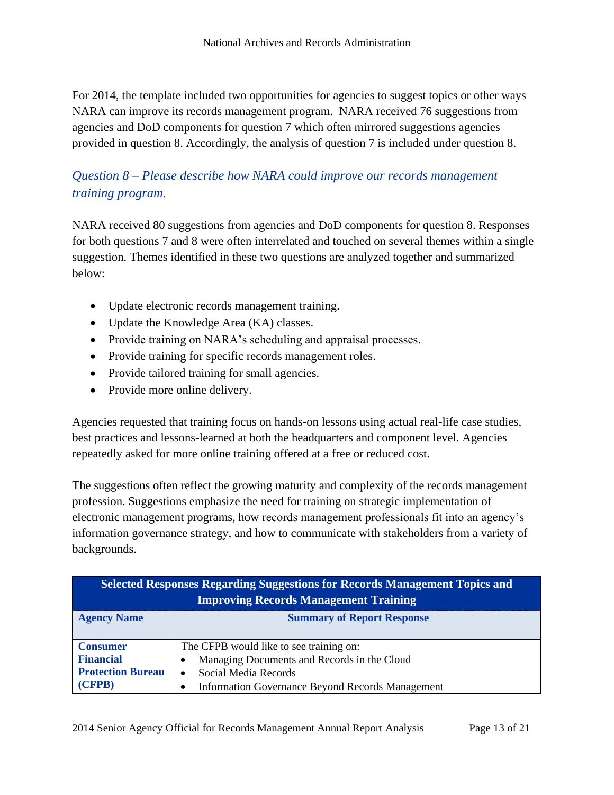For 2014, the template included two opportunities for agencies to suggest topics or other ways NARA can improve its records management program. NARA received 76 suggestions from agencies and DoD components for question 7 which often mirrored suggestions agencies provided in question 8. Accordingly, the analysis of question 7 is included under question 8.

## *Question 8 – Please describe how NARA could improve our records management training program.*

NARA received 80 suggestions from agencies and DoD components for question 8. Responses for both questions 7 and 8 were often interrelated and touched on several themes within a single suggestion. Themes identified in these two questions are analyzed together and summarized below:

- Update electronic records management training.
- Update the Knowledge Area (KA) classes.
- Provide training on NARA's scheduling and appraisal processes.
- Provide training for specific records management roles.
- Provide tailored training for small agencies.
- Provide more online delivery.

Agencies requested that training focus on hands-on lessons using actual real-life case studies, best practices and lessons-learned at both the headquarters and component level. Agencies repeatedly asked for more online training offered at a free or reduced cost.

The suggestions often reflect the growing maturity and complexity of the records management profession. Suggestions emphasize the need for training on strategic implementation of electronic management programs, how records management professionals fit into an agency's information governance strategy, and how to communicate with stakeholders from a variety of backgrounds.

| <b>Selected Responses Regarding Suggestions for Records Management Topics and</b><br><b>Improving Records Management Training</b> |                                                                                                                                                                    |
|-----------------------------------------------------------------------------------------------------------------------------------|--------------------------------------------------------------------------------------------------------------------------------------------------------------------|
| <b>Agency Name</b>                                                                                                                | <b>Summary of Report Response</b>                                                                                                                                  |
| <b>Consumer</b><br><b>Financial</b><br><b>Protection Bureau</b><br>(CFPB)                                                         | The CFPB would like to see training on:<br>Managing Documents and Records in the Cloud<br>Social Media Records<br>Information Governance Beyond Records Management |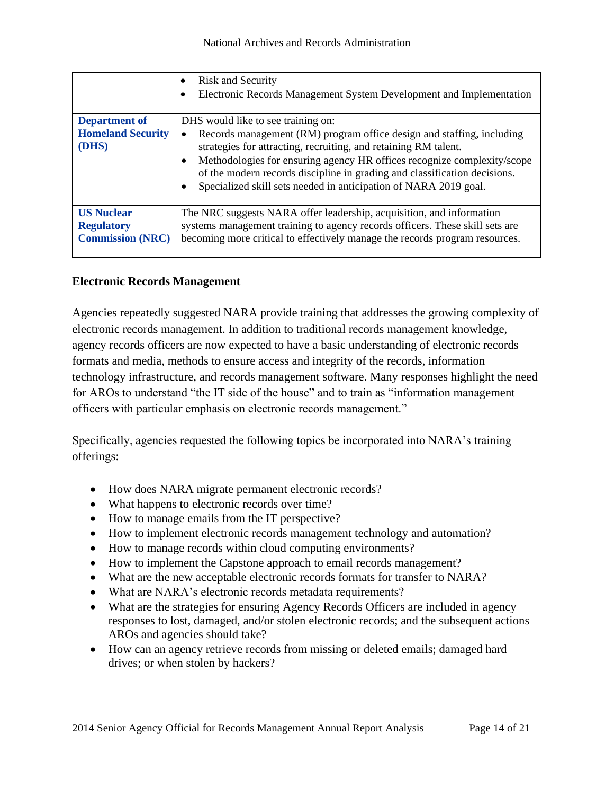|                                              | <b>Risk and Security</b><br>Electronic Records Management System Development and Implementation                                                                                                                                                                                                                                                                      |
|----------------------------------------------|----------------------------------------------------------------------------------------------------------------------------------------------------------------------------------------------------------------------------------------------------------------------------------------------------------------------------------------------------------------------|
| <b>Department of</b>                         | DHS would like to see training on:                                                                                                                                                                                                                                                                                                                                   |
| <b>Homeland Security</b><br>(DHS)            | Records management (RM) program office design and staffing, including<br>strategies for attracting, recruiting, and retaining RM talent.<br>Methodologies for ensuring agency HR offices recognize complexity/scope<br>of the modern records discipline in grading and classification decisions.<br>Specialized skill sets needed in anticipation of NARA 2019 goal. |
| <b>US Nuclear</b>                            | The NRC suggests NARA offer leadership, acquisition, and information                                                                                                                                                                                                                                                                                                 |
| <b>Regulatory</b><br><b>Commission (NRC)</b> | systems management training to agency records officers. These skill sets are<br>becoming more critical to effectively manage the records program resources.                                                                                                                                                                                                          |

#### **Electronic Records Management**

Agencies repeatedly suggested NARA provide training that addresses the growing complexity of electronic records management. In addition to traditional records management knowledge, agency records officers are now expected to have a basic understanding of electronic records formats and media, methods to ensure access and integrity of the records, information technology infrastructure, and records management software. Many responses highlight the need for AROs to understand "the IT side of the house" and to train as "information management officers with particular emphasis on electronic records management."

Specifically, agencies requested the following topics be incorporated into NARA's training offerings:

- How does NARA migrate permanent electronic records?
- What happens to electronic records over time?
- How to manage emails from the IT perspective?
- How to implement electronic records management technology and automation?
- How to manage records within cloud computing environments?
- How to implement the Capstone approach to email records management?
- What are the new acceptable electronic records formats for transfer to NARA?
- What are NARA's electronic records metadata requirements?
- What are the strategies for ensuring Agency Records Officers are included in agency responses to lost, damaged, and/or stolen electronic records; and the subsequent actions AROs and agencies should take?
- How can an agency retrieve records from missing or deleted emails; damaged hard drives; or when stolen by hackers?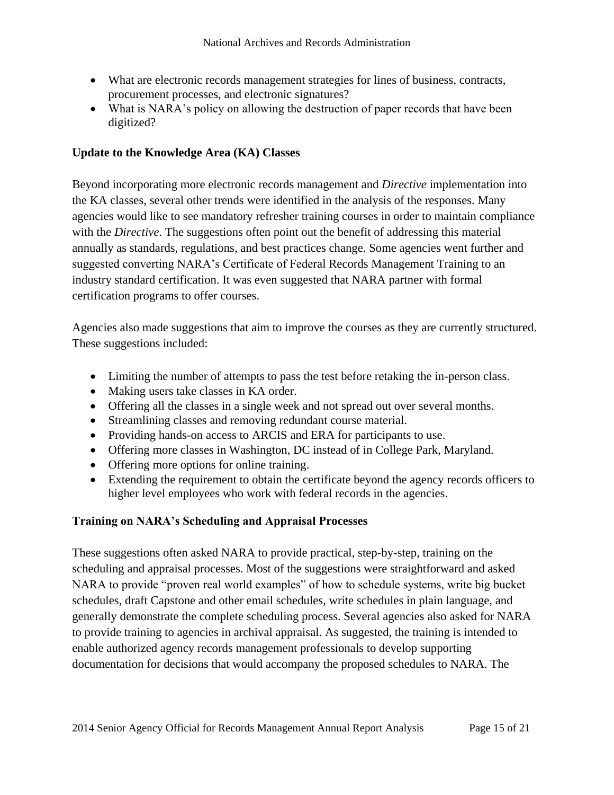- What are electronic records management strategies for lines of business, contracts, procurement processes, and electronic signatures?
- What is NARA's policy on allowing the destruction of paper records that have been digitized?

#### **Update to the Knowledge Area (KA) Classes**

Beyond incorporating more electronic records management and *Directive* implementation into the KA classes, several other trends were identified in the analysis of the responses. Many agencies would like to see mandatory refresher training courses in order to maintain compliance with the *Directive*. The suggestions often point out the benefit of addressing this material annually as standards, regulations, and best practices change. Some agencies went further and suggested converting NARA's Certificate of Federal Records Management Training to an industry standard certification. It was even suggested that NARA partner with formal certification programs to offer courses.

Agencies also made suggestions that aim to improve the courses as they are currently structured. These suggestions included:

- Limiting the number of attempts to pass the test before retaking the in-person class.
- Making users take classes in KA order.
- Offering all the classes in a single week and not spread out over several months.
- Streamlining classes and removing redundant course material.
- Providing hands-on access to ARCIS and ERA for participants to use.
- Offering more classes in Washington, DC instead of in College Park, Maryland.
- Offering more options for online training.
- Extending the requirement to obtain the certificate beyond the agency records officers to higher level employees who work with federal records in the agencies.

#### **Training on NARA's Scheduling and Appraisal Processes**

These suggestions often asked NARA to provide practical, step-by-step, training on the scheduling and appraisal processes. Most of the suggestions were straightforward and asked NARA to provide "proven real world examples" of how to schedule systems, write big bucket schedules, draft Capstone and other email schedules, write schedules in plain language, and generally demonstrate the complete scheduling process. Several agencies also asked for NARA to provide training to agencies in archival appraisal. As suggested, the training is intended to enable authorized agency records management professionals to develop supporting documentation for decisions that would accompany the proposed schedules to NARA. The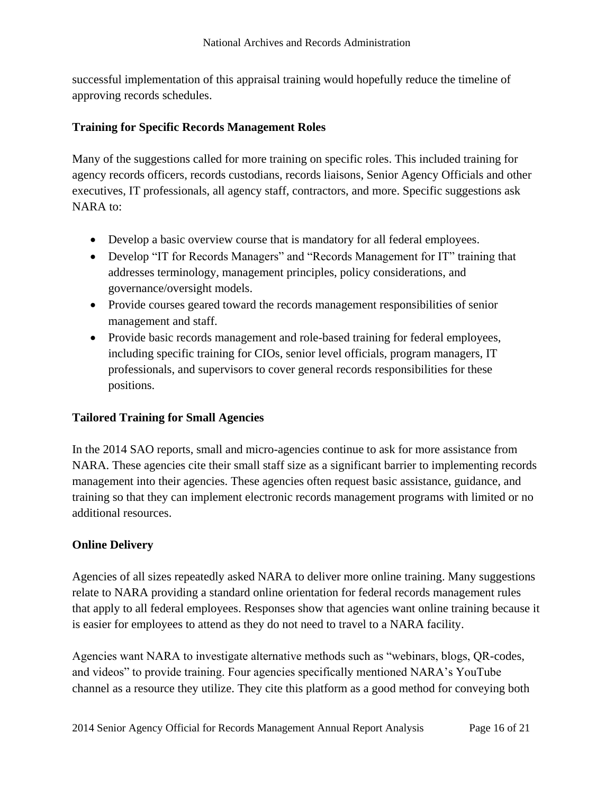successful implementation of this appraisal training would hopefully reduce the timeline of approving records schedules.

#### **Training for Specific Records Management Roles**

Many of the suggestions called for more training on specific roles. This included training for agency records officers, records custodians, records liaisons, Senior Agency Officials and other executives, IT professionals, all agency staff, contractors, and more. Specific suggestions ask NARA to:

- Develop a basic overview course that is mandatory for all federal employees.
- Develop "IT for Records Managers" and "Records Management for IT" training that addresses terminology, management principles, policy considerations, and governance/oversight models.
- Provide courses geared toward the records management responsibilities of senior management and staff.
- Provide basic records management and role-based training for federal employees, including specific training for CIOs, senior level officials, program managers, IT professionals, and supervisors to cover general records responsibilities for these positions.

#### **Tailored Training for Small Agencies**

In the 2014 SAO reports, small and micro-agencies continue to ask for more assistance from NARA. These agencies cite their small staff size as a significant barrier to implementing records management into their agencies. These agencies often request basic assistance, guidance, and training so that they can implement electronic records management programs with limited or no additional resources.

#### **Online Delivery**

Agencies of all sizes repeatedly asked NARA to deliver more online training. Many suggestions relate to NARA providing a standard online orientation for federal records management rules that apply to all federal employees. Responses show that agencies want online training because it is easier for employees to attend as they do not need to travel to a NARA facility.

Agencies want NARA to investigate alternative methods such as "webinars, blogs, QR-codes, and videos" to provide training. Four agencies specifically mentioned NARA's YouTube channel as a resource they utilize. They cite this platform as a good method for conveying both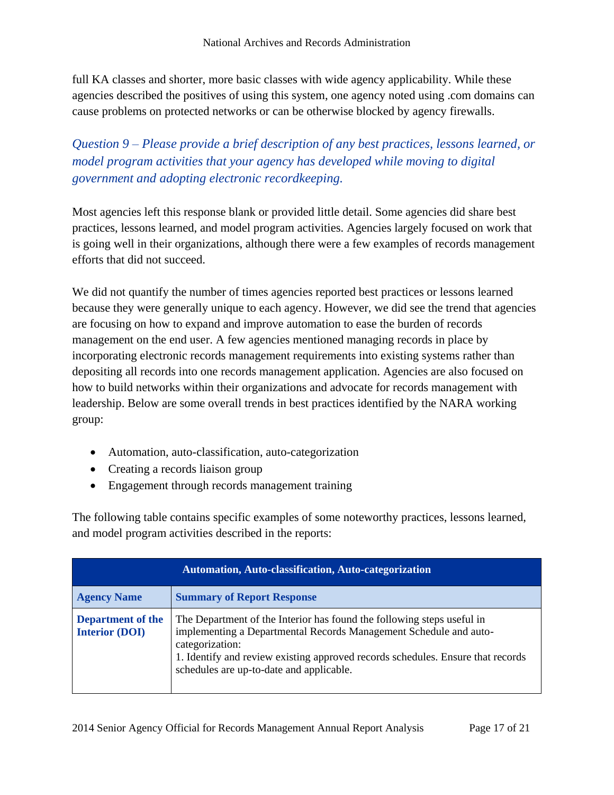full KA classes and shorter, more basic classes with wide agency applicability. While these agencies described the positives of using this system, one agency noted using .com domains can cause problems on protected networks or can be otherwise blocked by agency firewalls.

*Question 9 – Please provide a brief description of any best practices, lessons learned, or model program activities that your agency has developed while moving to digital government and adopting electronic recordkeeping.*

Most agencies left this response blank or provided little detail. Some agencies did share best practices, lessons learned, and model program activities. Agencies largely focused on work that is going well in their organizations, although there were a few examples of records management efforts that did not succeed.

We did not quantify the number of times agencies reported best practices or lessons learned because they were generally unique to each agency. However, we did see the trend that agencies are focusing on how to expand and improve automation to ease the burden of records management on the end user. A few agencies mentioned managing records in place by incorporating electronic records management requirements into existing systems rather than depositing all records into one records management application. Agencies are also focused on how to build networks within their organizations and advocate for records management with leadership. Below are some overall trends in best practices identified by the NARA working group:

- Automation, auto-classification, auto-categorization
- Creating a records liaison group
- Engagement through records management training

The following table contains specific examples of some noteworthy practices, lessons learned, and model program activities described in the reports:

| <b>Automation, Auto-classification, Auto-categorization</b> |                                                                                                                                                                                                                                                                                               |
|-------------------------------------------------------------|-----------------------------------------------------------------------------------------------------------------------------------------------------------------------------------------------------------------------------------------------------------------------------------------------|
| <b>Agency Name</b>                                          | <b>Summary of Report Response</b>                                                                                                                                                                                                                                                             |
| <b>Department of the</b><br><b>Interior (DOI)</b>           | The Department of the Interior has found the following steps useful in<br>implementing a Departmental Records Management Schedule and auto-<br>categorization:<br>1. Identify and review existing approved records schedules. Ensure that records<br>schedules are up-to-date and applicable. |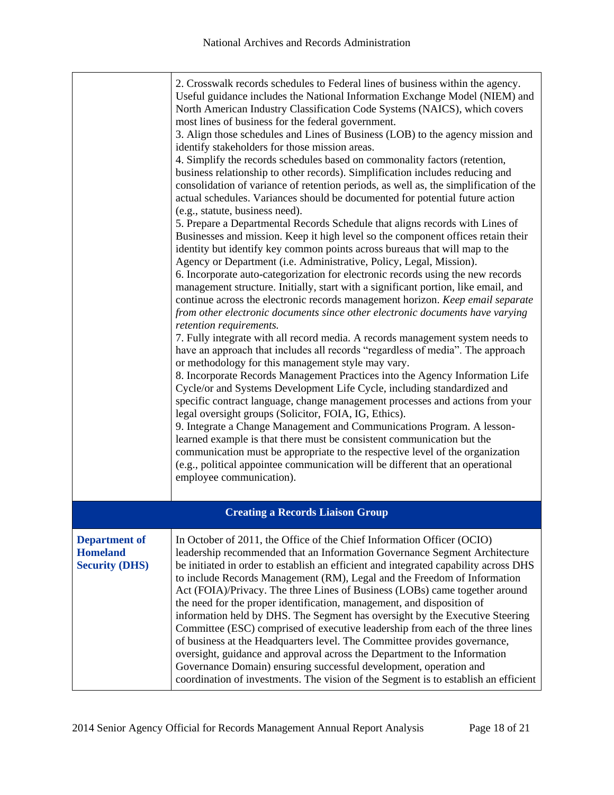|                                                                  | 2. Crosswalk records schedules to Federal lines of business within the agency.<br>Useful guidance includes the National Information Exchange Model (NIEM) and<br>North American Industry Classification Code Systems (NAICS), which covers<br>most lines of business for the federal government.<br>3. Align those schedules and Lines of Business (LOB) to the agency mission and<br>identify stakeholders for those mission areas.<br>4. Simplify the records schedules based on commonality factors (retention,<br>business relationship to other records). Simplification includes reducing and<br>consolidation of variance of retention periods, as well as, the simplification of the<br>actual schedules. Variances should be documented for potential future action<br>(e.g., statute, business need).<br>5. Prepare a Departmental Records Schedule that aligns records with Lines of<br>Businesses and mission. Keep it high level so the component offices retain their<br>identity but identify key common points across bureaus that will map to the<br>Agency or Department (i.e. Administrative, Policy, Legal, Mission).<br>6. Incorporate auto-categorization for electronic records using the new records<br>management structure. Initially, start with a significant portion, like email, and<br>continue across the electronic records management horizon. Keep email separate<br>from other electronic documents since other electronic documents have varying<br>retention requirements.<br>7. Fully integrate with all record media. A records management system needs to<br>have an approach that includes all records "regardless of media". The approach<br>or methodology for this management style may vary.<br>8. Incorporate Records Management Practices into the Agency Information Life<br>Cycle/or and Systems Development Life Cycle, including standardized and<br>specific contract language, change management processes and actions from your<br>legal oversight groups (Solicitor, FOIA, IG, Ethics).<br>9. Integrate a Change Management and Communications Program. A lesson-<br>learned example is that there must be consistent communication but the<br>communication must be appropriate to the respective level of the organization<br>(e.g., political appointee communication will be different that an operational<br>employee communication). |
|------------------------------------------------------------------|----------------------------------------------------------------------------------------------------------------------------------------------------------------------------------------------------------------------------------------------------------------------------------------------------------------------------------------------------------------------------------------------------------------------------------------------------------------------------------------------------------------------------------------------------------------------------------------------------------------------------------------------------------------------------------------------------------------------------------------------------------------------------------------------------------------------------------------------------------------------------------------------------------------------------------------------------------------------------------------------------------------------------------------------------------------------------------------------------------------------------------------------------------------------------------------------------------------------------------------------------------------------------------------------------------------------------------------------------------------------------------------------------------------------------------------------------------------------------------------------------------------------------------------------------------------------------------------------------------------------------------------------------------------------------------------------------------------------------------------------------------------------------------------------------------------------------------------------------------------------------------------------------------------------------------------------------------------------------------------------------------------------------------------------------------------------------------------------------------------------------------------------------------------------------------------------------------------------------------------------------------------------------------------------------------------------------------------------------------------------------------------------------|
|                                                                  | <b>Creating a Records Liaison Group</b>                                                                                                                                                                                                                                                                                                                                                                                                                                                                                                                                                                                                                                                                                                                                                                                                                                                                                                                                                                                                                                                                                                                                                                                                                                                                                                                                                                                                                                                                                                                                                                                                                                                                                                                                                                                                                                                                                                                                                                                                                                                                                                                                                                                                                                                                                                                                                            |
|                                                                  |                                                                                                                                                                                                                                                                                                                                                                                                                                                                                                                                                                                                                                                                                                                                                                                                                                                                                                                                                                                                                                                                                                                                                                                                                                                                                                                                                                                                                                                                                                                                                                                                                                                                                                                                                                                                                                                                                                                                                                                                                                                                                                                                                                                                                                                                                                                                                                                                    |
| <b>Department of</b><br><b>Homeland</b><br><b>Security (DHS)</b> | In October of 2011, the Office of the Chief Information Officer (OCIO)<br>leadership recommended that an Information Governance Segment Architecture<br>be initiated in order to establish an efficient and integrated capability across DHS<br>to include Records Management (RM), Legal and the Freedom of Information<br>Act (FOIA)/Privacy. The three Lines of Business (LOBs) came together around<br>the need for the proper identification, management, and disposition of<br>information held by DHS. The Segment has oversight by the Executive Steering<br>Committee (ESC) comprised of executive leadership from each of the three lines<br>of business at the Headquarters level. The Committee provides governance,<br>oversight, guidance and approval across the Department to the Information<br>Governance Domain) ensuring successful development, operation and<br>coordination of investments. The vision of the Segment is to establish an efficient                                                                                                                                                                                                                                                                                                                                                                                                                                                                                                                                                                                                                                                                                                                                                                                                                                                                                                                                                                                                                                                                                                                                                                                                                                                                                                                                                                                                                          |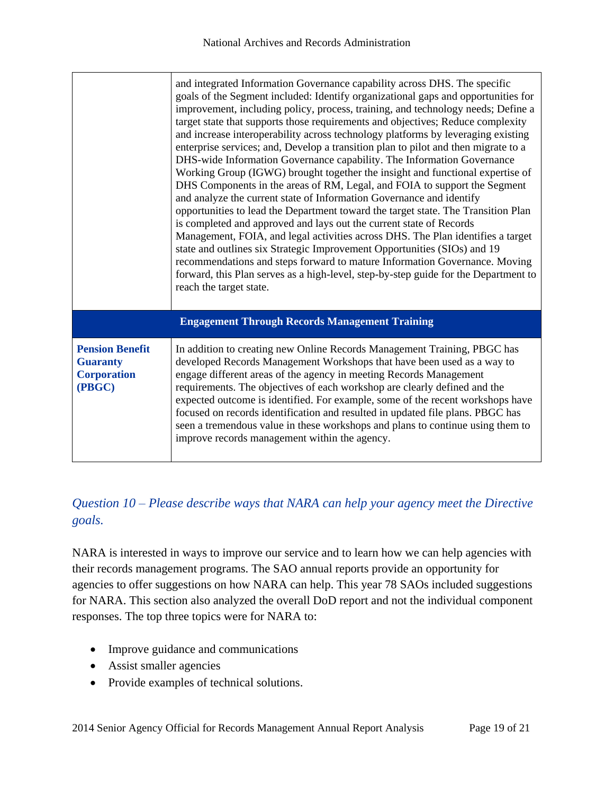|                                                                           | and integrated Information Governance capability across DHS. The specific<br>goals of the Segment included: Identify organizational gaps and opportunities for<br>improvement, including policy, process, training, and technology needs; Define a<br>target state that supports those requirements and objectives; Reduce complexity<br>and increase interoperability across technology platforms by leveraging existing<br>enterprise services; and, Develop a transition plan to pilot and then migrate to a<br>DHS-wide Information Governance capability. The Information Governance<br>Working Group (IGWG) brought together the insight and functional expertise of<br>DHS Components in the areas of RM, Legal, and FOIA to support the Segment<br>and analyze the current state of Information Governance and identify<br>opportunities to lead the Department toward the target state. The Transition Plan<br>is completed and approved and lays out the current state of Records<br>Management, FOIA, and legal activities across DHS. The Plan identifies a target<br>state and outlines six Strategic Improvement Opportunities (SIOs) and 19<br>recommendations and steps forward to mature Information Governance. Moving<br>forward, this Plan serves as a high-level, step-by-step guide for the Department to<br>reach the target state. |  |
|---------------------------------------------------------------------------|------------------------------------------------------------------------------------------------------------------------------------------------------------------------------------------------------------------------------------------------------------------------------------------------------------------------------------------------------------------------------------------------------------------------------------------------------------------------------------------------------------------------------------------------------------------------------------------------------------------------------------------------------------------------------------------------------------------------------------------------------------------------------------------------------------------------------------------------------------------------------------------------------------------------------------------------------------------------------------------------------------------------------------------------------------------------------------------------------------------------------------------------------------------------------------------------------------------------------------------------------------------------------------------------------------------------------------------------------------|--|
| <b>Engagement Through Records Management Training</b>                     |                                                                                                                                                                                                                                                                                                                                                                                                                                                                                                                                                                                                                                                                                                                                                                                                                                                                                                                                                                                                                                                                                                                                                                                                                                                                                                                                                            |  |
| <b>Pension Benefit</b><br><b>Guaranty</b><br><b>Corporation</b><br>(PBGC) | In addition to creating new Online Records Management Training, PBGC has<br>developed Records Management Workshops that have been used as a way to<br>engage different areas of the agency in meeting Records Management<br>requirements. The objectives of each workshop are clearly defined and the<br>expected outcome is identified. For example, some of the recent workshops have<br>focused on records identification and resulted in updated file plans. PBGC has<br>seen a tremendous value in these workshops and plans to continue using them to<br>improve records management within the agency.                                                                                                                                                                                                                                                                                                                                                                                                                                                                                                                                                                                                                                                                                                                                               |  |

### *Question 10 – Please describe ways that NARA can help your agency meet the Directive goals.*

NARA is interested in ways to improve our service and to learn how we can help agencies with their records management programs. The SAO annual reports provide an opportunity for agencies to offer suggestions on how NARA can help. This year 78 SAOs included suggestions for NARA. This section also analyzed the overall DoD report and not the individual component responses. The top three topics were for NARA to:

- Improve guidance and communications
- Assist smaller agencies
- Provide examples of technical solutions.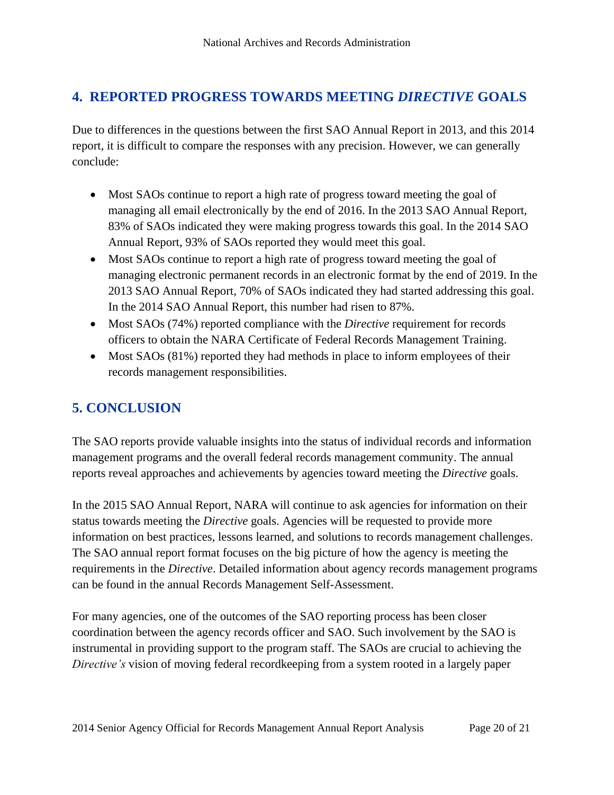# <span id="page-20-0"></span>**4. REPORTED PROGRESS TOWARDS MEETING** *DIRECTIVE* **GOALS**

Due to differences in the questions between the first SAO Annual Report in 2013, and this 2014 report, it is difficult to compare the responses with any precision. However, we can generally conclude:

- Most SAOs continue to report a high rate of progress toward meeting the goal of managing all email electronically by the end of 2016. In the 2013 SAO Annual Report, 83% of SAOs indicated they were making progress towards this goal. In the 2014 SAO Annual Report, 93% of SAOs reported they would meet this goal.
- Most SAOs continue to report a high rate of progress toward meeting the goal of managing electronic permanent records in an electronic format by the end of 2019. In the 2013 SAO Annual Report, 70% of SAOs indicated they had started addressing this goal. In the 2014 SAO Annual Report, this number had risen to 87%.
- Most SAOs (74%) reported compliance with the *Directive* requirement for records officers to obtain the NARA Certificate of Federal Records Management Training.
- Most SAOs (81%) reported they had methods in place to inform employees of their records management responsibilities.

# <span id="page-20-1"></span>**5. CONCLUSION**

The SAO reports provide valuable insights into the status of individual records and information management programs and the overall federal records management community. The annual reports reveal approaches and achievements by agencies toward meeting the *Directive* goals.

In the 2015 SAO Annual Report, NARA will continue to ask agencies for information on their status towards meeting the *Directive* goals. Agencies will be requested to provide more information on best practices, lessons learned, and solutions to records management challenges. The SAO annual report format focuses on the big picture of how the agency is meeting the requirements in the *Directive*. Detailed information about agency records management programs can be found in the annual Records Management Self-Assessment.

For many agencies, one of the outcomes of the SAO reporting process has been closer coordination between the agency records officer and SAO. Such involvement by the SAO is instrumental in providing support to the program staff. The SAOs are crucial to achieving the *Directive's* vision of moving federal recordkeeping from a system rooted in a largely paper